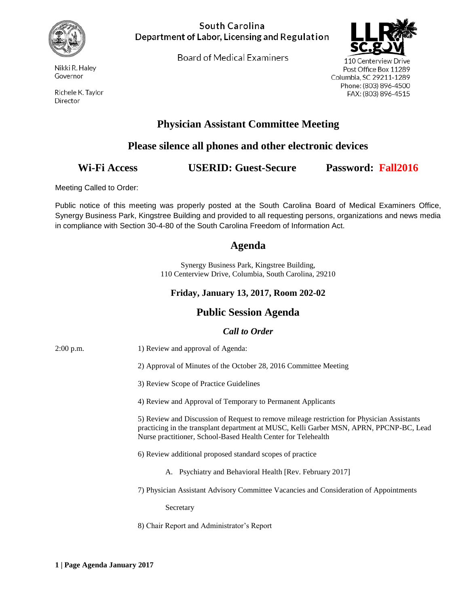

Nikki R. Haley Governor

Richele K. Taylor Director

### South Carolina Department of Labor, Licensing and Regulation

Board of Medical Examiners



110 Centerview Drive Post Office Box 11289 Columbia, SC 29211-1289 Phone: (803) 896-4500 FAX: (803) 896-4515

# **Physician Assistant Committee Meeting**

## **Please silence all phones and other electronic devices**

## **Wi-Fi Access USERID: Guest-Secure Password: Fall2016**

Meeting Called to Order:

Public notice of this meeting was properly posted at the South Carolina Board of Medical Examiners Office, Synergy Business Park, Kingstree Building and provided to all requesting persons, organizations and news media in compliance with Section 30-4-80 of the South Carolina Freedom of Information Act.

## **Agenda**

Synergy Business Park, Kingstree Building, 110 Centerview Drive, Columbia, South Carolina, 29210

#### **Friday, January 13, 2017, Room 202-02**

## **Public Session Agenda**

#### *Call to Order*

| $2:00$ p.m. | 1) Review and approval of Agenda:                                                                                                                                                                                                                      |
|-------------|--------------------------------------------------------------------------------------------------------------------------------------------------------------------------------------------------------------------------------------------------------|
|             | 2) Approval of Minutes of the October 28, 2016 Committee Meeting                                                                                                                                                                                       |
|             | 3) Review Scope of Practice Guidelines                                                                                                                                                                                                                 |
|             | 4) Review and Approval of Temporary to Permanent Applicants                                                                                                                                                                                            |
|             | 5) Review and Discussion of Request to remove mileage restriction for Physician Assistants<br>practicing in the transplant department at MUSC, Kelli Garber MSN, APRN, PPCNP-BC, Lead<br>Nurse practitioner, School-Based Health Center for Telehealth |
|             | 6) Review additional proposed standard scopes of practice                                                                                                                                                                                              |
|             | <b>Psychiatry and Behavioral Health [Rev. February 2017]</b><br>А.                                                                                                                                                                                     |
|             | 7) Physician Assistant Advisory Committee Vacancies and Consideration of Appointments                                                                                                                                                                  |
|             | Secretary                                                                                                                                                                                                                                              |
|             | 8) Chair Report and Administrator's Report                                                                                                                                                                                                             |